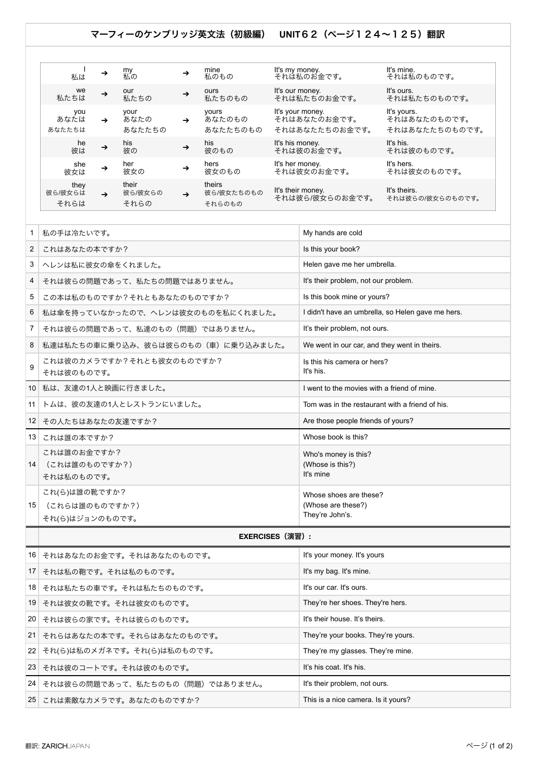## マーフィーのケンブリッジ英文法(初級編) **UNIT**62(ページ124~125)翻訳

| 私は                      | →             | my<br>私の                 | →             | mine<br>私のもの                   | It's my money.<br>それは私のお金です。                       | It's mine.<br>それは私のものです。                      |
|-------------------------|---------------|--------------------------|---------------|--------------------------------|----------------------------------------------------|-----------------------------------------------|
| we<br>私たちは              | $\rightarrow$ | our<br>私たちの              | $\rightarrow$ | ours<br>私たちのもの                 | It's our money.<br>それは私たちのお金です。                    | It's ours.<br>それは私たちのものです。                    |
| you<br>あなたは<br>あなたたちは   | $\rightarrow$ | your<br>あなたの<br>あなたたちの   | $\rightarrow$ | yours<br>あなたのもの<br>あなたたちのもの    | It's your money.<br>それはあなたのお金です。<br>それはあなたたちのお金です。 | It's yours.<br>それはあなたのものです。<br>それはあなたたちのものです。 |
| he<br>彼は                | $\rightarrow$ | his<br>彼の                | $\rightarrow$ | his<br>彼のもの                    | It's his money.<br>それは彼のお金です。                      | It's his.<br>それは彼のものです。                       |
| she<br>彼女は              | →             | her<br>彼女の               | →             | hers<br>彼女のもの                  | It's her money.<br>それは彼女のお金です。                     | It's hers.<br>それは彼女のものです。                     |
| they<br>彼ら/彼女らは<br>それらは | $\rightarrow$ | their<br>彼ら/彼女らの<br>それらの | $\rightarrow$ | theirs<br>彼ら/彼女たちのもの<br>それらのもの | It's their money.<br>それは彼ら/彼女らのお金です。               | It's theirs.<br>それは彼らの/彼女らのものです。              |

| 1  | 私の手は冷たいです。                                         | My hands are cold                                               |  |  |  |  |  |
|----|----------------------------------------------------|-----------------------------------------------------------------|--|--|--|--|--|
| 2  | これはあなたの本ですか?                                       | Is this your book?                                              |  |  |  |  |  |
| 3  | ヘレンは私に彼女の傘をくれました。                                  | Helen gave me her umbrella.                                     |  |  |  |  |  |
| 4  | それは彼らの問題であって、私たちの問題ではありません。                        | It's their problem, not our problem.                            |  |  |  |  |  |
| 5  | この本は私のものですか?それともあなたのものですか?                         | Is this book mine or yours?                                     |  |  |  |  |  |
| 6  | 私は傘を持っていなかったので、ヘレンは彼女のものを私にくれました。                  | I didn't have an umbrella, so Helen gave me hers.               |  |  |  |  |  |
| 7  | それは彼らの問題であって、私達のもの(問題)ではありません。                     | It's their problem, not ours.                                   |  |  |  |  |  |
| 8  | 私達は私たちの車に乗り込み、彼らは彼らのもの(車)に乗り込みました。                 | We went in our car, and they went in theirs.                    |  |  |  |  |  |
| 9  | これは彼のカメラですか?それとも彼女のものですか?<br>それは彼のものです。            | Is this his camera or hers?<br>It's his.                        |  |  |  |  |  |
| 10 | 私は、友達の1人と映画に行きました。                                 | I went to the movies with a friend of mine.                     |  |  |  |  |  |
| 11 | トムは、彼の友達の1人とレストランにいました。                            | Tom was in the restaurant with a friend of his.                 |  |  |  |  |  |
| 12 | その人たちはあなたの友達ですか?                                   | Are those people friends of yours?                              |  |  |  |  |  |
| 13 | これは誰の本ですか?                                         | Whose book is this?                                             |  |  |  |  |  |
| 14 | これは誰のお金ですか?<br>(これは誰のものですか?)<br>それは私のものです。         | Who's money is this?<br>(Whose is this?)<br>It's mine           |  |  |  |  |  |
| 15 | これ(ら)は誰の靴ですか?<br>(これらは誰のものですか?)<br>それ(ら)はジョンのものです。 | Whose shoes are these?<br>(Whose are these?)<br>They're John's. |  |  |  |  |  |
|    | <b>EXERCISES (演習):</b>                             |                                                                 |  |  |  |  |  |
| 16 | それはあなたのお金です。それはあなたのものです。                           | It's your money. It's yours                                     |  |  |  |  |  |
| 17 | それは私の鞄です。それは私のものです。                                | It's my bag. It's mine.                                         |  |  |  |  |  |
| 18 | それは私たちの車です。それは私たちのものです。                            | It's our car. It's ours.                                        |  |  |  |  |  |
| 19 | それは彼女の靴です。それは彼女のものです。                              | They're her shoes. They're hers.                                |  |  |  |  |  |
| 20 | それは彼らの家です。それは彼らのものです。                              | It's their house. It's theirs.                                  |  |  |  |  |  |
| 21 | それらはあなたの本です。それらはあなたのものです。                          | They're your books. They're yours.                              |  |  |  |  |  |
| 22 | それ(ら)は私のメガネです。それ(ら)は私のものです。                        | They're my glasses. They're mine.                               |  |  |  |  |  |
| 23 | それは彼のコートです。それは彼のものです。                              | It's his coat. It's his.                                        |  |  |  |  |  |
| 24 | それは彼らの問題であって、私たちのもの(問題)ではありません。                    | It's their problem, not ours.                                   |  |  |  |  |  |
| 25 | これは素敵なカメラです。あなたのものですか?                             | This is a nice camera. Is it yours?                             |  |  |  |  |  |